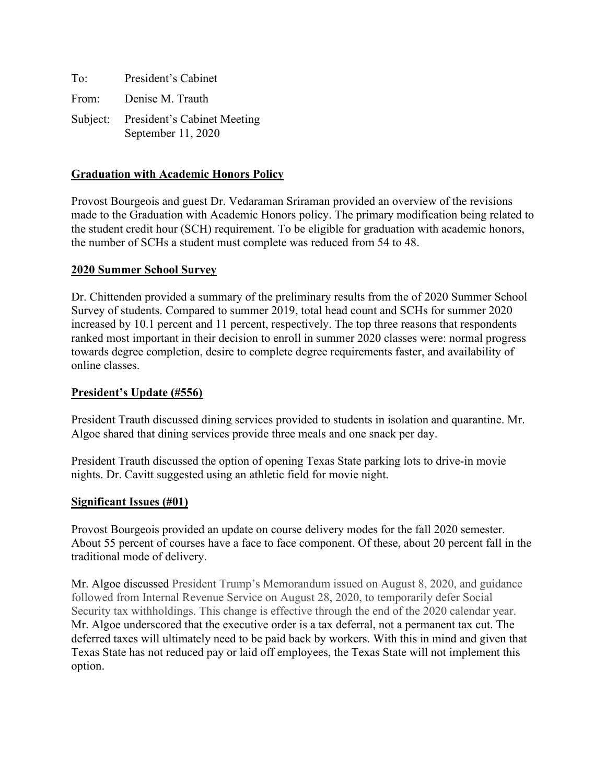| To:   | President's Cabinet                                        |
|-------|------------------------------------------------------------|
| From: | Denise M. Trauth                                           |
|       | Subject: President's Cabinet Meeting<br>September 11, 2020 |

## **Graduation with Academic Honors Policy**

Provost Bourgeois and guest Dr. Vedaraman Sriraman provided an overview of the revisions made to the Graduation with Academic Honors policy. The primary modification being related to the student credit hour (SCH) requirement. To be eligible for graduation with academic honors, the number of SCHs a student must complete was reduced from 54 to 48.

## **2020 Summer School Survey**

Dr. Chittenden provided a summary of the preliminary results from the of 2020 Summer School Survey of students. Compared to summer 2019, total head count and SCHs for summer 2020 increased by 10.1 percent and 11 percent, respectively. The top three reasons that respondents ranked most important in their decision to enroll in summer 2020 classes were: normal progress towards degree completion, desire to complete degree requirements faster, and availability of online classes.

## **President's Update (#556)**

President Trauth discussed dining services provided to students in isolation and quarantine. Mr. Algoe shared that dining services provide three meals and one snack per day.

President Trauth discussed the option of opening Texas State parking lots to drive-in movie nights. Dr. Cavitt suggested using an athletic field for movie night.

## **Significant Issues (#01)**

Provost Bourgeois provided an update on course delivery modes for the fall 2020 semester. About 55 percent of courses have a face to face component. Of these, about 20 percent fall in the traditional mode of delivery.

Mr. Algoe discussed President Trump's Memorandum issued on August 8, 2020, and guidance followed from Internal Revenue Service on August 28, 2020, to temporarily defer Social Security tax withholdings. This change is effective through the end of the 2020 calendar year. Mr. Algoe underscored that the executive order is a tax deferral, not a permanent tax cut. The deferred taxes will ultimately need to be paid back by workers. With this in mind and given that Texas State has not reduced pay or laid off employees, the Texas State will not implement this option.